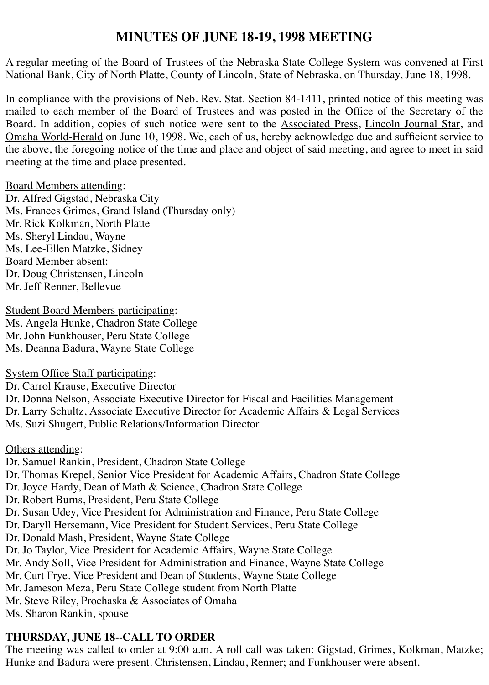# **MINUTES OF JUNE 18-19, 1998 MEETING**

A regular meeting of the Board of Trustees of the Nebraska State College System was convened at First National Bank, City of North Platte, County of Lincoln, State of Nebraska, on Thursday, June 18, 1998.

In compliance with the provisions of Neb. Rev. Stat. Section 84-1411, printed notice of this meeting was mailed to each member of the Board of Trustees and was posted in the Office of the Secretary of the Board. In addition, copies of such notice were sent to the Associated Press, Lincoln Journal Star, and Omaha World-Herald on June 10, 1998. We, each of us, hereby acknowledge due and sufficient service to the above, the foregoing notice of the time and place and object of said meeting, and agree to meet in said meeting at the time and place presented.

#### Board Members attending:

Dr. Alfred Gigstad, Nebraska City Ms. Frances Grimes, Grand Island (Thursday only) Mr. Rick Kolkman, North Platte Ms. Sheryl Lindau, Wayne Ms. Lee-Ellen Matzke, Sidney Board Member absent: Dr. Doug Christensen, Lincoln Mr. Jeff Renner, Bellevue

**Student Board Members participating:** Ms. Angela Hunke, Chadron State College Mr. John Funkhouser, Peru State College Ms. Deanna Badura, Wayne State College

System Office Staff participating:

Dr. Carrol Krause, Executive Director

Dr. Donna Nelson, Associate Executive Director for Fiscal and Facilities Management Dr. Larry Schultz, Associate Executive Director for Academic Affairs & Legal Services Ms. Suzi Shugert, Public Relations/Information Director

Others attending:

Dr. Samuel Rankin, President, Chadron State College Dr. Thomas Krepel, Senior Vice President for Academic Affairs, Chadron State College Dr. Joyce Hardy, Dean of Math & Science, Chadron State College Dr. Robert Burns, President, Peru State College Dr. Susan Udey, Vice President for Administration and Finance, Peru State College Dr. Daryll Hersemann, Vice President for Student Services, Peru State College Dr. Donald Mash, President, Wayne State College Dr. Jo Taylor, Vice President for Academic Affairs, Wayne State College Mr. Andy Soll, Vice President for Administration and Finance, Wayne State College Mr. Curt Frye, Vice President and Dean of Students, Wayne State College Mr. Jameson Meza, Peru State College student from North Platte Mr. Steve Riley, Prochaska & Associates of Omaha Ms. Sharon Rankin, spouse

# **THURSDAY, JUNE 18--CALL TO ORDER**

The meeting was called to order at 9:00 a.m. A roll call was taken: Gigstad, Grimes, Kolkman, Matzke; Hunke and Badura were present. Christensen, Lindau, Renner; and Funkhouser were absent.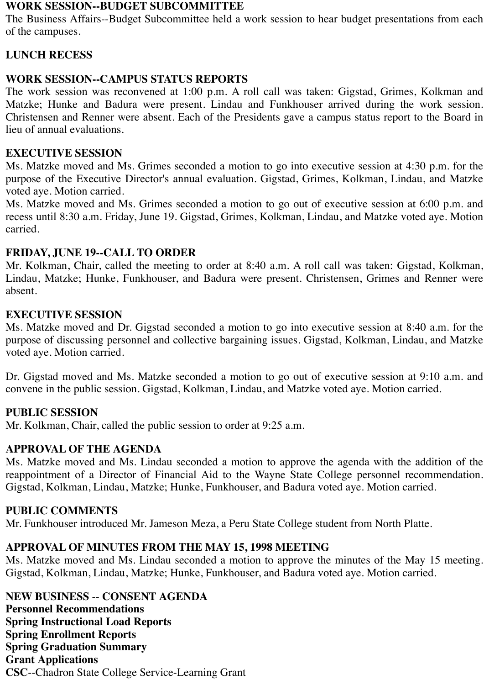#### **WORK SESSION--BUDGET SUBCOMMITTEE**

The Business Affairs--Budget Subcommittee held a work session to hear budget presentations from each of the campuses.

# **LUNCH RECESS**

# **WORK SESSION--CAMPUS STATUS REPORTS**

The work session was reconvened at 1:00 p.m. A roll call was taken: Gigstad, Grimes, Kolkman and Matzke; Hunke and Badura were present. Lindau and Funkhouser arrived during the work session. Christensen and Renner were absent. Each of the Presidents gave a campus status report to the Board in lieu of annual evaluations.

# **EXECUTIVE SESSION**

Ms. Matzke moved and Ms. Grimes seconded a motion to go into executive session at 4:30 p.m. for the purpose of the Executive Director's annual evaluation. Gigstad, Grimes, Kolkman, Lindau, and Matzke voted aye. Motion carried.

Ms. Matzke moved and Ms. Grimes seconded a motion to go out of executive session at 6:00 p.m. and recess until 8:30 a.m. Friday, June 19. Gigstad, Grimes, Kolkman, Lindau, and Matzke voted aye. Motion carried.

# **FRIDAY, JUNE 19--CALL TO ORDER**

Mr. Kolkman, Chair, called the meeting to order at 8:40 a.m. A roll call was taken: Gigstad, Kolkman, Lindau, Matzke; Hunke, Funkhouser, and Badura were present. Christensen, Grimes and Renner were absent.

# **EXECUTIVE SESSION**

Ms. Matzke moved and Dr. Gigstad seconded a motion to go into executive session at 8:40 a.m. for the purpose of discussing personnel and collective bargaining issues. Gigstad, Kolkman, Lindau, and Matzke voted aye. Motion carried.

Dr. Gigstad moved and Ms. Matzke seconded a motion to go out of executive session at 9:10 a.m. and convene in the public session. Gigstad, Kolkman, Lindau, and Matzke voted aye. Motion carried.

# **PUBLIC SESSION**

Mr. Kolkman, Chair, called the public session to order at 9:25 a.m.

# **APPROVAL OF THE AGENDA**

Ms. Matzke moved and Ms. Lindau seconded a motion to approve the agenda with the addition of the reappointment of a Director of Financial Aid to the Wayne State College personnel recommendation. Gigstad, Kolkman, Lindau, Matzke; Hunke, Funkhouser, and Badura voted aye. Motion carried.

# **PUBLIC COMMENTS**

Mr. Funkhouser introduced Mr. Jameson Meza, a Peru State College student from North Platte.

# **APPROVAL OF MINUTES FROM THE MAY 15, 1998 MEETING**

Ms. Matzke moved and Ms. Lindau seconded a motion to approve the minutes of the May 15 meeting. Gigstad, Kolkman, Lindau, Matzke; Hunke, Funkhouser, and Badura voted aye. Motion carried.

**NEW BUSINESS** -- **CONSENT AGENDA Personnel Recommendations Spring Instructional Load Reports Spring Enrollment Reports Spring Graduation Summary Grant Applications CSC**--Chadron State College Service-Learning Grant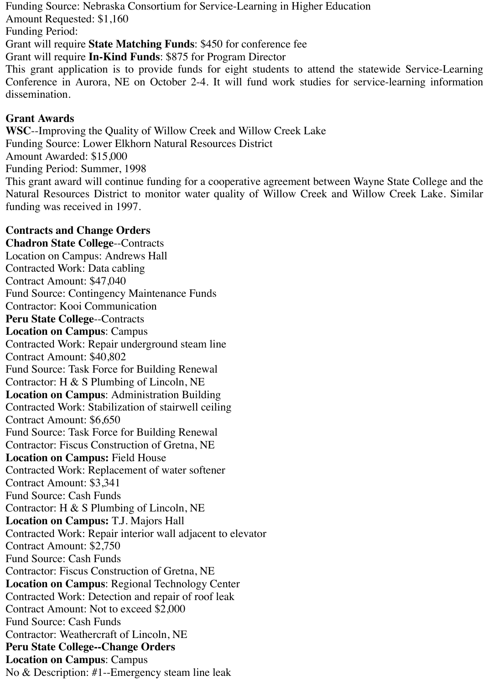Funding Source: Nebraska Consortium for Service-Learning in Higher Education

Amount Requested: \$1,160

Funding Period:

Grant will require **State Matching Funds**: \$450 for conference fee

Grant will require **In-Kind Funds**: \$875 for Program Director

This grant application is to provide funds for eight students to attend the statewide Service-Learning Conference in Aurora, NE on October 2-4. It will fund work studies for service-learning information dissemination.

# **Grant Awards**

**WSC**--Improving the Quality of Willow Creek and Willow Creek Lake Funding Source: Lower Elkhorn Natural Resources District Amount Awarded: \$15,000 Funding Period: Summer, 1998 This grant award will continue funding for a cooperative agreement between Wayne State College and the

Natural Resources District to monitor water quality of Willow Creek and Willow Creek Lake. Similar funding was received in 1997.

# **Contracts and Change Orders**

**Chadron State College**--Contracts Location on Campus: Andrews Hall Contracted Work: Data cabling Contract Amount: \$47,040 Fund Source: Contingency Maintenance Funds Contractor: Kooi Communication **Peru State College**--Contracts **Location on Campus**: Campus Contracted Work: Repair underground steam line Contract Amount: \$40,802 Fund Source: Task Force for Building Renewal Contractor: H & S Plumbing of Lincoln, NE **Location on Campus**: Administration Building Contracted Work: Stabilization of stairwell ceiling Contract Amount: \$6,650 Fund Source: Task Force for Building Renewal Contractor: Fiscus Construction of Gretna, NE **Location on Campus:** Field House Contracted Work: Replacement of water softener Contract Amount: \$3,341 Fund Source: Cash Funds Contractor: H & S Plumbing of Lincoln, NE **Location on Campus:** T.J. Majors Hall Contracted Work: Repair interior wall adjacent to elevator Contract Amount: \$2,750 Fund Source: Cash Funds Contractor: Fiscus Construction of Gretna, NE **Location on Campus**: Regional Technology Center Contracted Work: Detection and repair of roof leak Contract Amount: Not to exceed \$2,000 Fund Source: Cash Funds Contractor: Weathercraft of Lincoln, NE **Peru State College--Change Orders Location on Campus**: Campus No & Description: #1--Emergency steam line leak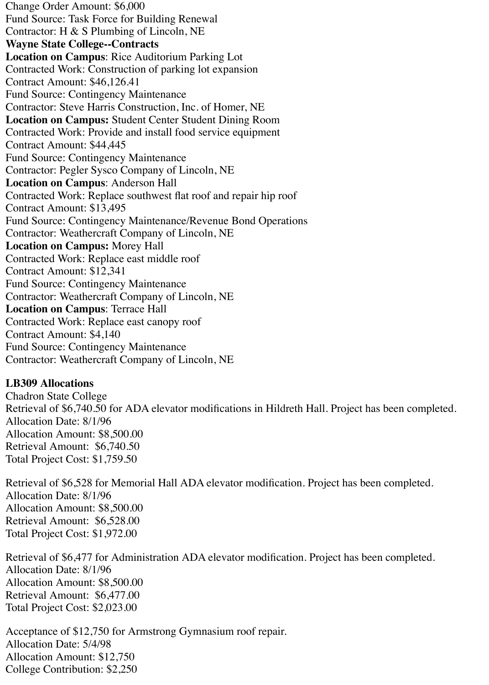Change Order Amount: \$6,000 Fund Source: Task Force for Building Renewal Contractor: H & S Plumbing of Lincoln, NE **Wayne State College--Contracts Location on Campus**: Rice Auditorium Parking Lot Contracted Work: Construction of parking lot expansion Contract Amount: \$46,126.41 Fund Source: Contingency Maintenance Contractor: Steve Harris Construction, Inc. of Homer, NE **Location on Campus:** Student Center Student Dining Room Contracted Work: Provide and install food service equipment Contract Amount: \$44,445 Fund Source: Contingency Maintenance Contractor: Pegler Sysco Company of Lincoln, NE **Location on Campus**: Anderson Hall Contracted Work: Replace southwest flat roof and repair hip roof Contract Amount: \$13,495 Fund Source: Contingency Maintenance/Revenue Bond Operations Contractor: Weathercraft Company of Lincoln, NE **Location on Campus:** Morey Hall Contracted Work: Replace east middle roof Contract Amount: \$12,341 Fund Source: Contingency Maintenance Contractor: Weathercraft Company of Lincoln, NE **Location on Campus**: Terrace Hall Contracted Work: Replace east canopy roof Contract Amount: \$4,140 Fund Source: Contingency Maintenance Contractor: Weathercraft Company of Lincoln, NE

# **LB309 Allocations**

Chadron State College Retrieval of \$6,740.50 for ADA elevator modifications in Hildreth Hall. Project has been completed. Allocation Date: 8/1/96 Allocation Amount: \$8,500.00 Retrieval Amount: \$6,740.50 Total Project Cost: \$1,759.50

Retrieval of \$6,528 for Memorial Hall ADA elevator modification. Project has been completed. Allocation Date: 8/1/96 Allocation Amount: \$8,500.00 Retrieval Amount: \$6,528.00 Total Project Cost: \$1,972.00

Retrieval of \$6,477 for Administration ADA elevator modification. Project has been completed. Allocation Date: 8/1/96 Allocation Amount: \$8,500.00 Retrieval Amount: \$6,477.00 Total Project Cost: \$2,023.00

Acceptance of \$12,750 for Armstrong Gymnasium roof repair. Allocation Date: 5/4/98 Allocation Amount: \$12,750 College Contribution: \$2,250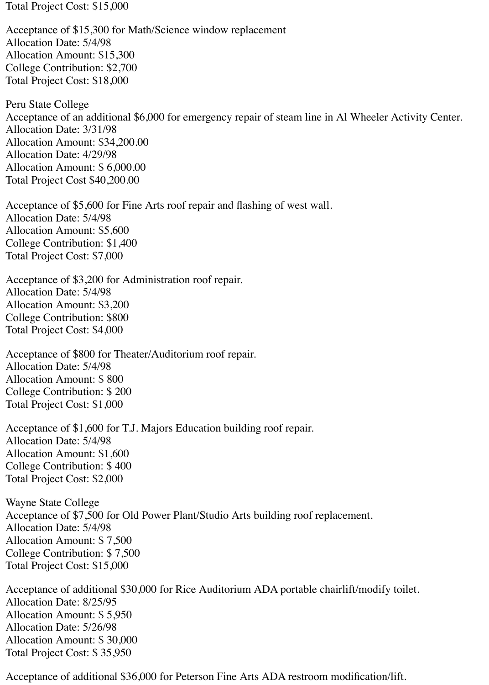Total Project Cost: \$15,000

Acceptance of \$15,300 for Math/Science window replacement Allocation Date: 5/4/98 Allocation Amount: \$15,300 College Contribution: \$2,700 Total Project Cost: \$18,000

Peru State College Acceptance of an additional \$6,000 for emergency repair of steam line in Al Wheeler Activity Center. Allocation Date: 3/31/98 Allocation Amount: \$34,200.00 Allocation Date: 4/29/98 Allocation Amount: \$ 6,000.00 Total Project Cost \$40,200.00

Acceptance of \$5,600 for Fine Arts roof repair and flashing of west wall. Allocation Date: 5/4/98 Allocation Amount: \$5,600 College Contribution: \$1,400 Total Project Cost: \$7,000

Acceptance of \$3,200 for Administration roof repair. Allocation Date: 5/4/98 Allocation Amount: \$3,200 College Contribution: \$800 Total Project Cost: \$4,000

Acceptance of \$800 for Theater/Auditorium roof repair. Allocation Date: 5/4/98 Allocation Amount: \$ 800 College Contribution: \$ 200 Total Project Cost: \$1,000

Acceptance of \$1,600 for T.J. Majors Education building roof repair. Allocation Date: 5/4/98 Allocation Amount: \$1,600 College Contribution: \$ 400 Total Project Cost: \$2,000

Wayne State College Acceptance of \$7,500 for Old Power Plant/Studio Arts building roof replacement. Allocation Date: 5/4/98 Allocation Amount: \$ 7,500 College Contribution: \$ 7,500 Total Project Cost: \$15,000

Acceptance of additional \$30,000 for Rice Auditorium ADA portable chairlift/modify toilet. Allocation Date: 8/25/95 Allocation Amount: \$ 5,950 Allocation Date: 5/26/98 Allocation Amount: \$ 30,000 Total Project Cost: \$ 35,950

Acceptance of additional \$36,000 for Peterson Fine Arts ADA restroom modification/lift.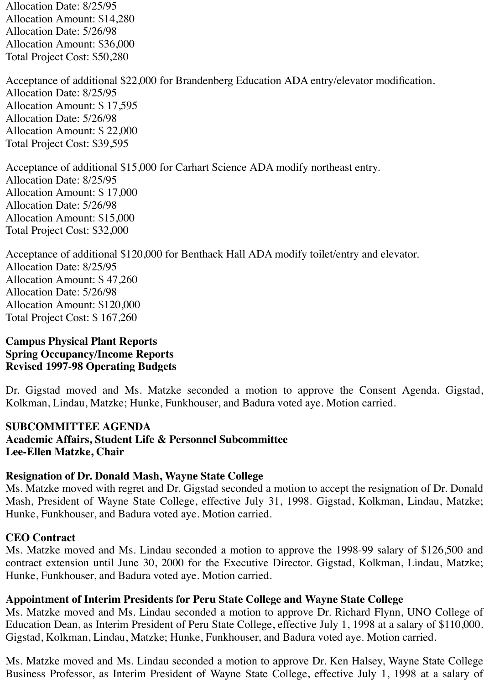Allocation Date: 8/25/95 Allocation Amount: \$14,280 Allocation Date: 5/26/98 Allocation Amount: \$36,000 Total Project Cost: \$50,280

Acceptance of additional \$22,000 for Brandenberg Education ADA entry/elevator modification. Allocation Date: 8/25/95 Allocation Amount: \$ 17,595 Allocation Date: 5/26/98 Allocation Amount: \$ 22,000 Total Project Cost: \$39,595

Acceptance of additional \$15,000 for Carhart Science ADA modify northeast entry. Allocation Date: 8/25/95 Allocation Amount: \$ 17,000 Allocation Date: 5/26/98 Allocation Amount: \$15,000 Total Project Cost: \$32,000

Acceptance of additional \$120,000 for Benthack Hall ADA modify toilet/entry and elevator. Allocation Date: 8/25/95 Allocation Amount: \$ 47,260 Allocation Date: 5/26/98 Allocation Amount: \$120,000 Total Project Cost: \$ 167,260

### **Campus Physical Plant Reports Spring Occupancy/Income Reports Revised 1997-98 Operating Budgets**

Dr. Gigstad moved and Ms. Matzke seconded a motion to approve the Consent Agenda. Gigstad, Kolkman, Lindau, Matzke; Hunke, Funkhouser, and Badura voted aye. Motion carried.

# **SUBCOMMITTEE AGENDA Academic Affairs, Student Life & Personnel Subcommittee Lee-Ellen Matzke, Chair**

# **Resignation of Dr. Donald Mash, Wayne State College**

Ms. Matzke moved with regret and Dr. Gigstad seconded a motion to accept the resignation of Dr. Donald Mash, President of Wayne State College, effective July 31, 1998. Gigstad, Kolkman, Lindau, Matzke; Hunke, Funkhouser, and Badura voted aye. Motion carried.

# **CEO Contract**

Ms. Matzke moved and Ms. Lindau seconded a motion to approve the 1998-99 salary of \$126,500 and contract extension until June 30, 2000 for the Executive Director. Gigstad, Kolkman, Lindau, Matzke; Hunke, Funkhouser, and Badura voted aye. Motion carried.

# **Appointment of Interim Presidents for Peru State College and Wayne State College**

Ms. Matzke moved and Ms. Lindau seconded a motion to approve Dr. Richard Flynn, UNO College of Education Dean, as Interim President of Peru State College, effective July 1, 1998 at a salary of \$110,000. Gigstad, Kolkman, Lindau, Matzke; Hunke, Funkhouser, and Badura voted aye. Motion carried.

Ms. Matzke moved and Ms. Lindau seconded a motion to approve Dr. Ken Halsey, Wayne State College Business Professor, as Interim President of Wayne State College, effective July 1, 1998 at a salary of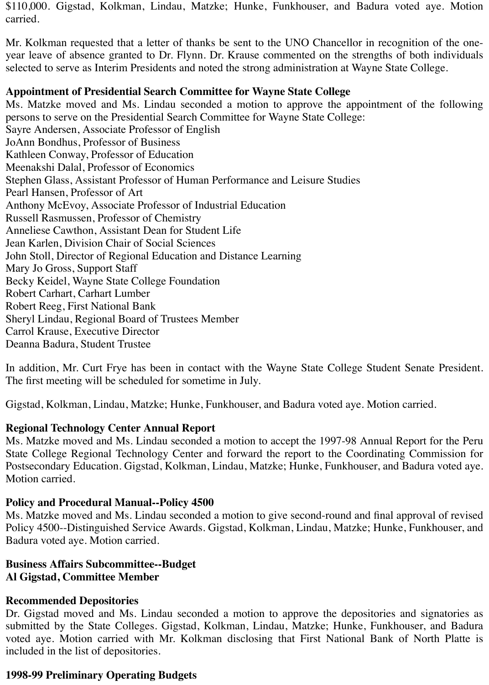\$110,000. Gigstad, Kolkman, Lindau, Matzke; Hunke, Funkhouser, and Badura voted aye. Motion carried.

Mr. Kolkman requested that a letter of thanks be sent to the UNO Chancellor in recognition of the oneyear leave of absence granted to Dr. Flynn. Dr. Krause commented on the strengths of both individuals selected to serve as Interim Presidents and noted the strong administration at Wayne State College.

#### **Appointment of Presidential Search Committee for Wayne State College**

Ms. Matzke moved and Ms. Lindau seconded a motion to approve the appointment of the following persons to serve on the Presidential Search Committee for Wayne State College: Sayre Andersen, Associate Professor of English JoAnn Bondhus, Professor of Business Kathleen Conway, Professor of Education Meenakshi Dalal, Professor of Economics Stephen Glass, Assistant Professor of Human Performance and Leisure Studies Pearl Hansen, Professor of Art Anthony McEvoy, Associate Professor of Industrial Education Russell Rasmussen, Professor of Chemistry Anneliese Cawthon, Assistant Dean for Student Life Jean Karlen, Division Chair of Social Sciences John Stoll, Director of Regional Education and Distance Learning Mary Jo Gross, Support Staff Becky Keidel, Wayne State College Foundation Robert Carhart, Carhart Lumber Robert Reeg, First National Bank Sheryl Lindau, Regional Board of Trustees Member Carrol Krause, Executive Director Deanna Badura, Student Trustee

In addition, Mr. Curt Frye has been in contact with the Wayne State College Student Senate President. The first meeting will be scheduled for sometime in July.

Gigstad, Kolkman, Lindau, Matzke; Hunke, Funkhouser, and Badura voted aye. Motion carried.

# **Regional Technology Center Annual Report**

Ms. Matzke moved and Ms. Lindau seconded a motion to accept the 1997-98 Annual Report for the Peru State College Regional Technology Center and forward the report to the Coordinating Commission for Postsecondary Education. Gigstad, Kolkman, Lindau, Matzke; Hunke, Funkhouser, and Badura voted aye. Motion carried.

# **Policy and Procedural Manual--Policy 4500**

Ms. Matzke moved and Ms. Lindau seconded a motion to give second-round and final approval of revised Policy 4500--Distinguished Service Awards. Gigstad, Kolkman, Lindau, Matzke; Hunke, Funkhouser, and Badura voted aye. Motion carried.

# **Business Affairs Subcommittee--Budget Al Gigstad, Committee Member**

# **Recommended Depositories**

Dr. Gigstad moved and Ms. Lindau seconded a motion to approve the depositories and signatories as submitted by the State Colleges. Gigstad, Kolkman, Lindau, Matzke; Hunke, Funkhouser, and Badura voted aye. Motion carried with Mr. Kolkman disclosing that First National Bank of North Platte is included in the list of depositories.

# **1998-99 Preliminary Operating Budgets**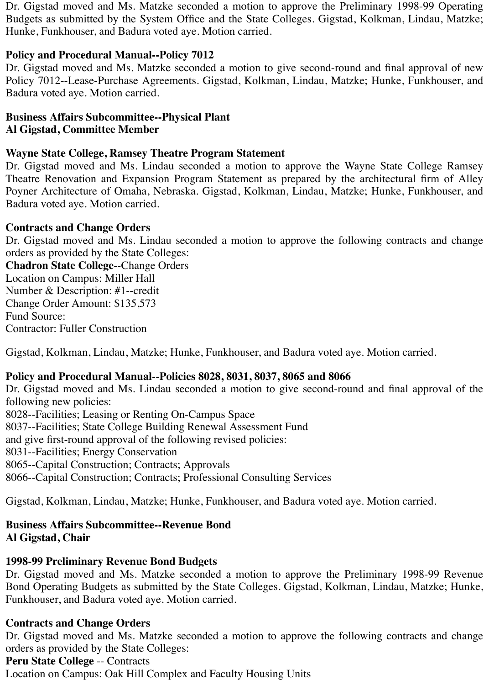Dr. Gigstad moved and Ms. Matzke seconded a motion to approve the Preliminary 1998-99 Operating Budgets as submitted by the System Office and the State Colleges. Gigstad, Kolkman, Lindau, Matzke; Hunke, Funkhouser, and Badura voted aye. Motion carried.

# **Policy and Procedural Manual--Policy 7012**

Dr. Gigstad moved and Ms. Matzke seconded a motion to give second-round and final approval of new Policy 7012--Lease-Purchase Agreements. Gigstad, Kolkman, Lindau, Matzke; Hunke, Funkhouser, and Badura voted aye. Motion carried.

#### **Business Affairs Subcommittee--Physical Plant Al Gigstad, Committee Member**

### **Wayne State College, Ramsey Theatre Program Statement**

Dr. Gigstad moved and Ms. Lindau seconded a motion to approve the Wayne State College Ramsey Theatre Renovation and Expansion Program Statement as prepared by the architectural firm of Alley Poyner Architecture of Omaha, Nebraska. Gigstad, Kolkman, Lindau, Matzke; Hunke, Funkhouser, and Badura voted aye. Motion carried.

#### **Contracts and Change Orders**

Dr. Gigstad moved and Ms. Lindau seconded a motion to approve the following contracts and change orders as provided by the State Colleges:

**Chadron State College**--Change Orders Location on Campus: Miller Hall Number & Description: #1--credit Change Order Amount: \$135,573 Fund Source: Contractor: Fuller Construction

Gigstad, Kolkman, Lindau, Matzke; Hunke, Funkhouser, and Badura voted aye. Motion carried.

# **Policy and Procedural Manual--Policies 8028, 8031, 8037, 8065 and 8066**

Dr. Gigstad moved and Ms. Lindau seconded a motion to give second-round and final approval of the following new policies: 8028--Facilities; Leasing or Renting On-Campus Space 8037--Facilities; State College Building Renewal Assessment Fund and give first-round approval of the following revised policies: 8031--Facilities; Energy Conservation 8065--Capital Construction; Contracts; Approvals 8066--Capital Construction; Contracts; Professional Consulting Services

Gigstad, Kolkman, Lindau, Matzke; Hunke, Funkhouser, and Badura voted aye. Motion carried.

# **Business Affairs Subcommittee--Revenue Bond Al Gigstad, Chair**

# **1998-99 Preliminary Revenue Bond Budgets**

Dr. Gigstad moved and Ms. Matzke seconded a motion to approve the Preliminary 1998-99 Revenue Bond Operating Budgets as submitted by the State Colleges. Gigstad, Kolkman, Lindau, Matzke; Hunke, Funkhouser, and Badura voted aye. Motion carried.

# **Contracts and Change Orders**

Dr. Gigstad moved and Ms. Matzke seconded a motion to approve the following contracts and change orders as provided by the State Colleges:

#### **Peru State College** -- Contracts

Location on Campus: Oak Hill Complex and Faculty Housing Units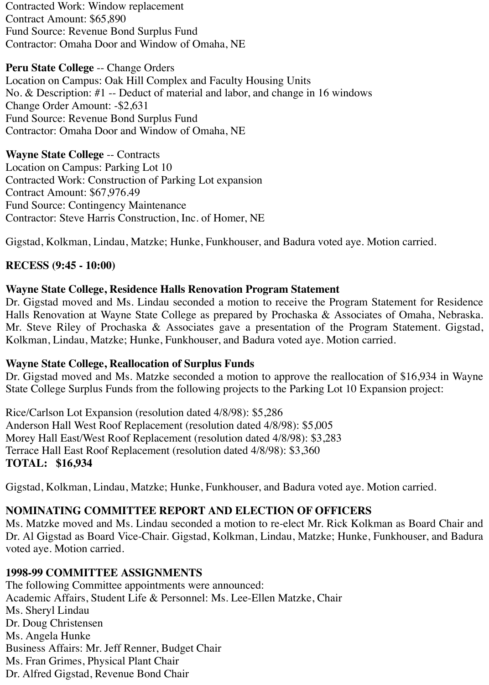Contracted Work: Window replacement Contract Amount: \$65,890 Fund Source: Revenue Bond Surplus Fund Contractor: Omaha Door and Window of Omaha, NE

**Peru State College** -- Change Orders Location on Campus: Oak Hill Complex and Faculty Housing Units No. & Description: #1 -- Deduct of material and labor, and change in 16 windows Change Order Amount: -\$2,631 Fund Source: Revenue Bond Surplus Fund Contractor: Omaha Door and Window of Omaha, NE

**Wayne State College** -- Contracts Location on Campus: Parking Lot 10 Contracted Work: Construction of Parking Lot expansion Contract Amount: \$67,976.49 Fund Source: Contingency Maintenance Contractor: Steve Harris Construction, Inc. of Homer, NE

Gigstad, Kolkman, Lindau, Matzke; Hunke, Funkhouser, and Badura voted aye. Motion carried.

# **RECESS (9:45 - 10:00)**

# **Wayne State College, Residence Halls Renovation Program Statement**

Dr. Gigstad moved and Ms. Lindau seconded a motion to receive the Program Statement for Residence Halls Renovation at Wayne State College as prepared by Prochaska & Associates of Omaha, Nebraska. Mr. Steve Riley of Prochaska & Associates gave a presentation of the Program Statement. Gigstad, Kolkman, Lindau, Matzke; Hunke, Funkhouser, and Badura voted aye. Motion carried.

# **Wayne State College, Reallocation of Surplus Funds**

Dr. Gigstad moved and Ms. Matzke seconded a motion to approve the reallocation of \$16,934 in Wayne State College Surplus Funds from the following projects to the Parking Lot 10 Expansion project:

Rice/Carlson Lot Expansion (resolution dated 4/8/98): \$5,286 Anderson Hall West Roof Replacement (resolution dated 4/8/98): \$5,005 Morey Hall East/West Roof Replacement (resolution dated 4/8/98): \$3,283 Terrace Hall East Roof Replacement (resolution dated 4/8/98): \$3,360 **TOTAL: \$16,934**

Gigstad, Kolkman, Lindau, Matzke; Hunke, Funkhouser, and Badura voted aye. Motion carried.

# **NOMINATING COMMITTEE REPORT AND ELECTION OF OFFICERS**

Ms. Matzke moved and Ms. Lindau seconded a motion to re-elect Mr. Rick Kolkman as Board Chair and Dr. Al Gigstad as Board Vice-Chair. Gigstad, Kolkman, Lindau, Matzke; Hunke, Funkhouser, and Badura voted aye. Motion carried.

# **1998-99 COMMITTEE ASSIGNMENTS**

The following Committee appointments were announced: Academic Affairs, Student Life & Personnel: Ms. Lee-Ellen Matzke, Chair Ms. Sheryl Lindau Dr. Doug Christensen Ms. Angela Hunke Business Affairs: Mr. Jeff Renner, Budget Chair Ms. Fran Grimes, Physical Plant Chair Dr. Alfred Gigstad, Revenue Bond Chair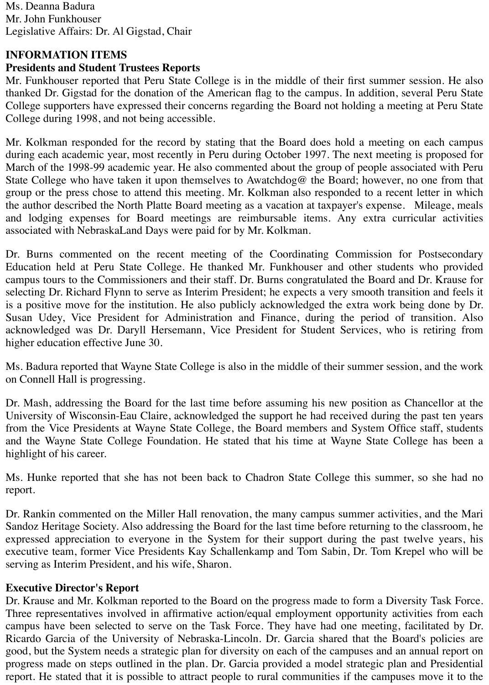Ms. Deanna Badura Mr. John Funkhouser Legislative Affairs: Dr. Al Gigstad, Chair

# **INFORMATION ITEMS**

# **Presidents and Student Trustees Reports**

Mr. Funkhouser reported that Peru State College is in the middle of their first summer session. He also thanked Dr. Gigstad for the donation of the American flag to the campus. In addition, several Peru State College supporters have expressed their concerns regarding the Board not holding a meeting at Peru State College during 1998, and not being accessible.

Mr. Kolkman responded for the record by stating that the Board does hold a meeting on each campus during each academic year, most recently in Peru during October 1997. The next meeting is proposed for March of the 1998-99 academic year. He also commented about the group of people associated with Peru State College who have taken it upon themselves to Awatchdog@ the Board; however, no one from that group or the press chose to attend this meeting. Mr. Kolkman also responded to a recent letter in which the author described the North Platte Board meeting as a vacation at taxpayer's expense. Mileage, meals and lodging expenses for Board meetings are reimbursable items. Any extra curricular activities associated with NebraskaLand Days were paid for by Mr. Kolkman.

Dr. Burns commented on the recent meeting of the Coordinating Commission for Postsecondary Education held at Peru State College. He thanked Mr. Funkhouser and other students who provided campus tours to the Commissioners and their staff. Dr. Burns congratulated the Board and Dr. Krause for selecting Dr. Richard Flynn to serve as Interim President; he expects a very smooth transition and feels it is a positive move for the institution. He also publicly acknowledged the extra work being done by Dr. Susan Udey, Vice President for Administration and Finance, during the period of transition. Also acknowledged was Dr. Daryll Hersemann, Vice President for Student Services, who is retiring from higher education effective June 30.

Ms. Badura reported that Wayne State College is also in the middle of their summer session, and the work on Connell Hall is progressing.

Dr. Mash, addressing the Board for the last time before assuming his new position as Chancellor at the University of Wisconsin-Eau Claire, acknowledged the support he had received during the past ten years from the Vice Presidents at Wayne State College, the Board members and System Office staff, students and the Wayne State College Foundation. He stated that his time at Wayne State College has been a highlight of his career.

Ms. Hunke reported that she has not been back to Chadron State College this summer, so she had no report.

Dr. Rankin commented on the Miller Hall renovation, the many campus summer activities, and the Mari Sandoz Heritage Society. Also addressing the Board for the last time before returning to the classroom, he expressed appreciation to everyone in the System for their support during the past twelve years, his executive team, former Vice Presidents Kay Schallenkamp and Tom Sabin, Dr. Tom Krepel who will be serving as Interim President, and his wife, Sharon.

# **Executive Director's Report**

Dr. Krause and Mr. Kolkman reported to the Board on the progress made to form a Diversity Task Force. Three representatives involved in affirmative action/equal employment opportunity activities from each campus have been selected to serve on the Task Force. They have had one meeting, facilitated by Dr. Ricardo Garcia of the University of Nebraska-Lincoln. Dr. Garcia shared that the Board's policies are good, but the System needs a strategic plan for diversity on each of the campuses and an annual report on progress made on steps outlined in the plan. Dr. Garcia provided a model strategic plan and Presidential report. He stated that it is possible to attract people to rural communities if the campuses move it to the